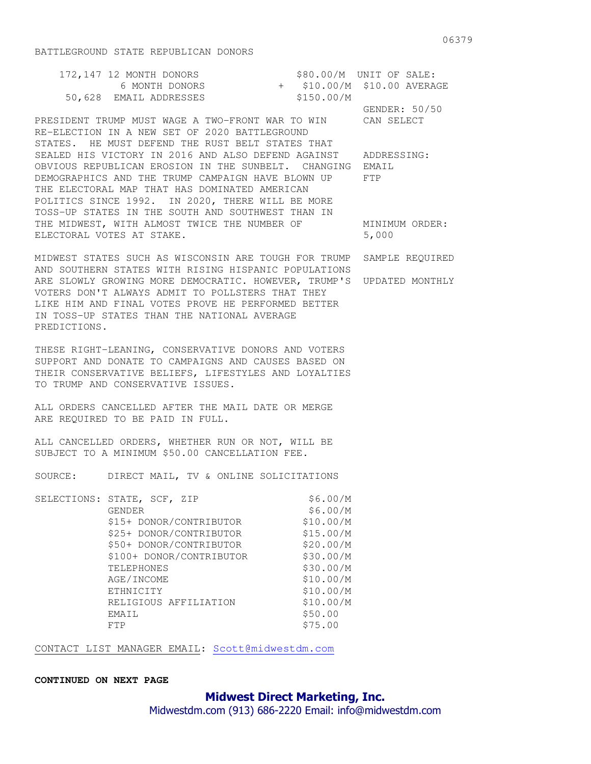| 172,147 12 MONTH DONORS | $$80.00/M$ UNIT OF SALE:    |
|-------------------------|-----------------------------|
| 6 MONTH DONORS          | + \$10.00/M \$10.00 AVERAGE |
| 50,628 EMAIL ADDRESSES  | \$150.00/M                  |
|                         | GENDER: 50/50               |

PRESIDENT TRUMP MUST WAGE A TWO-FRONT WAR TO WIN CAN SELECT RE-ELECTION IN A NEW SET OF 2020 BATTLEGROUND STATES. HE MUST DEFEND THE RUST BELT STATES THAT SEALED HIS VICTORY IN 2016 AND ALSO DEFEND AGAINST ADDRESSING: OBVIOUS REPUBLICAN EROSION IN THE SUNBELT. CHANGING EMAIL DEMOGRAPHICS AND THE TRUMP CAMPAIGN HAVE BLOWN UP FTP THE ELECTORAL MAP THAT HAS DOMINATED AMERICAN POLITICS SINCE 1992. IN 2020, THERE WILL BE MORE TOSS-UP STATES IN THE SOUTH AND SOUTHWEST THAN IN THE MIDWEST, WITH ALMOST TWICE THE NUMBER OF MINIMUM ORDER: ELECTORAL VOTES AT STAKE. 5,000

MIDWEST STATES SUCH AS WISCONSIN ARE TOUGH FOR TRUMP SAMPLE REQUIRED AND SOUTHERN STATES WITH RISING HISPANIC POPULATIONS ARE SLOWLY GROWING MORE DEMOCRATIC. HOWEVER, TRUMP'S UPDATED MONTHLY VOTERS DON'T ALWAYS ADMIT TO POLLSTERS THAT THEY LIKE HIM AND FINAL VOTES PROVE HE PERFORMED BETTER IN TOSS-UP STATES THAN THE NATIONAL AVERAGE PREDICTIONS.

THESE RIGHT-LEANING, CONSERVATIVE DONORS AND VOTERS SUPPORT AND DONATE TO CAMPAIGNS AND CAUSES BASED ON THEIR CONSERVATIVE BELIEFS, LIFESTYLES AND LOYALTIES TO TRUMP AND CONSERVATIVE ISSUES.

ALL ORDERS CANCELLED AFTER THE MAIL DATE OR MERGE ARE REQUIRED TO BE PAID IN FULL.

ALL CANCELLED ORDERS, WHETHER RUN OR NOT, WILL BE SUBJECT TO A MINIMUM \$50.00 CANCELLATION FEE.

SOURCE: DIRECT MAIL, TV & ONLINE SOLICITATIONS

| SELECTIONS: | STATE, SCF, ZIP          | \$6.00/M  |
|-------------|--------------------------|-----------|
|             | GENDER                   | \$6.00/M  |
|             | \$15+ DONOR/CONTRIBUTOR  | \$10.00/M |
|             | \$25+ DONOR/CONTRIBUTOR  | \$15.00/M |
|             | \$50+ DONOR/CONTRIBUTOR  | \$20.00/M |
|             | \$100+ DONOR/CONTRIBUTOR | \$30.00/M |
|             | <b>TELEPHONES</b>        | \$30.00/M |
|             | AGE/INCOME               | \$10.00/M |
|             | ETHNICITY                | \$10.00/M |
|             | RELIGIOUS AFFILIATION    | \$10.00/M |
|             | EMAIL                    | \$50.00   |
|             | FTP                      | \$75.00   |

CONTACT LIST MANAGER EMAIL: Scott@midwestdm.com

## **CONTINUED ON NEXT PAGE**

## **Midwest Direct Marketing, Inc.**

Midwestdm.com (913) 686-2220 Email: info@midwestdm.com